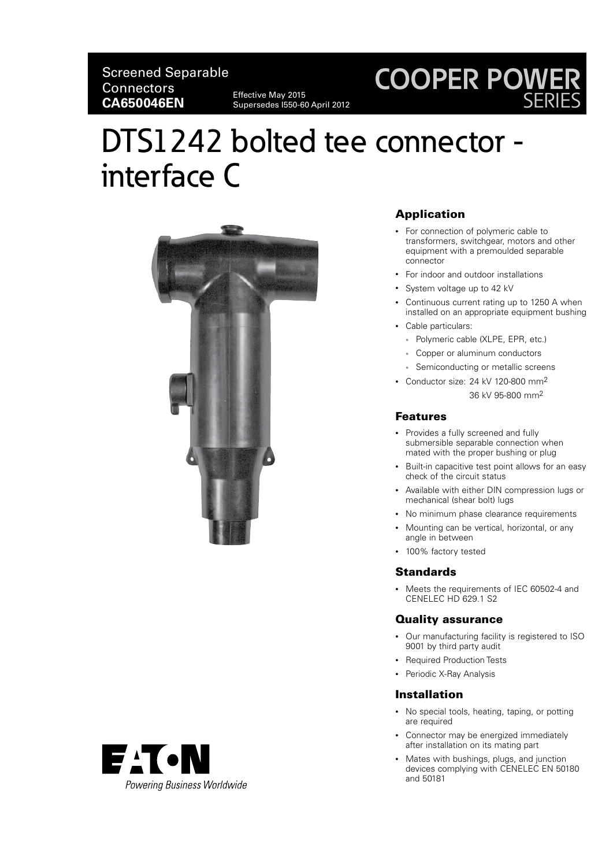Supersedes I550-60 April 2012

### **COOPER POWER** SERIES

## DTS1242 bolted tee connector interface C



#### Application

- For connection of polymeric cable to transformers, switchgear, motors and other equipment with a premoulded separable connector
- For indoor and outdoor installations
- System voltage up to 42 kV
- Continuous current rating up to 1250 A when installed on an appropriate equipment bushing
- Cable particulars:
	- Polymeric cable (XLPE, EPR, etc.)
	- Copper or aluminum conductors
	- Semiconducting or metallic screens
- Conductor size: 24 kV 120-800 mm2 36 kV 95-800 mm2

#### Features

- Provides a fully screened and fully submersible separable connection when mated with the proper bushing or plug
- Built-in capacitive test point allows for an easy check of the circuit status
- Available with either DIN compression lugs or mechanical (shear bolt) lugs
- No minimum phase clearance requirements
- Mounting can be vertical, horizontal, or any angle in between
- 100% factory tested

#### **Standards**

• Meets the requirements of IEC 60502-4 and CENELEC HD 629.1 S2

#### Quality assurance

- Our manufacturing facility is registered to ISO 9001 by third party audit
- Required Production Tests
- Periodic X-Ray Analysis

#### Installation

- No special tools, heating, taping, or potting are required
- Connector may be energized immediately after installation on its mating part
- Mates with bushings, plugs, and junction devices complying with CENELEC EN 50180 and 50181

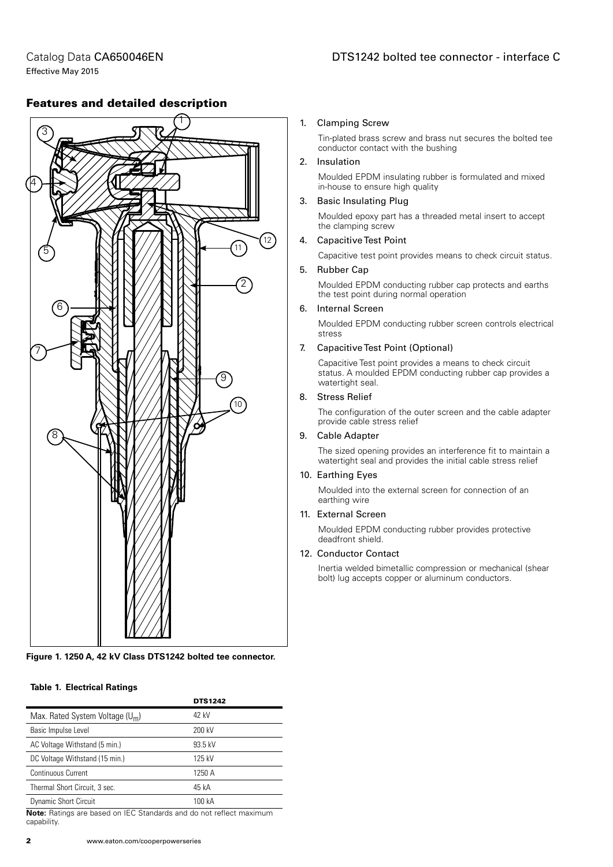Catalog Data CA650046EN Effective May 2015

# 1 3 4 5  $10$ ′9ି 6 7 8 11  $12$ 2

#### Features and detailed description

#### **Figure 1. 1250 A, 42 kV Class DTS1242 bolted tee connector.**

#### **Table 1. Electrical Ratings**

|                                   | <b>DTS1242</b> |
|-----------------------------------|----------------|
| Max. Rated System Voltage $(U_m)$ | 42 kV          |
| Basic Impulse Level               | 200 kV         |
| AC Voltage Withstand (5 min.)     | 93.5 kV        |
| DC Voltage Withstand (15 min.)    | 125 kV         |
| <b>Continuous Current</b>         | 1250 A         |
| Thermal Short Circuit, 3 sec.     | 45 kA          |
| <b>Dynamic Short Circuit</b>      | 100 kA         |

**Note:** Ratings are based on IEC Standards and do not reflect maximum capability.

#### 1. Clamping Screw

Tin-plated brass screw and brass nut secures the bolted tee conductor contact with the bushing

#### 2. Insulation

Moulded EPDM insulating rubber is formulated and mixed in-house to ensure high quality

#### 3. Basic Insulating Plug

Moulded epoxy part has a threaded metal insert to accept the clamping screw

#### 4. Capacitive Test Point

Capacitive test point provides means to check circuit status.

#### 5. Rubber Cap

Moulded EPDM conducting rubber cap protects and earths the test point during normal operation

#### 6. Internal Screen

Moulded EPDM conducting rubber screen controls electrical stress

#### 7. Capacitive Test Point (Optional)

Capacitive Test point provides a means to check circuit status. A moulded EPDM conducting rubber cap provides a watertight seal.

#### 8. Stress Relief

The configuration of the outer screen and the cable adapter provide cable stress relief

#### 9. Cable Adapter

The sized opening provides an interference fit to maintain a watertight seal and provides the initial cable stress relief

#### 10. Earthing Eyes

Moulded into the external screen for connection of an earthing wire

#### 11. External Screen

Moulded EPDM conducting rubber provides protective deadfront shield.

#### 12. Conductor Contact

Inertia welded bimetallic compression or mechanical (shear bolt) lug accepts copper or aluminum conductors.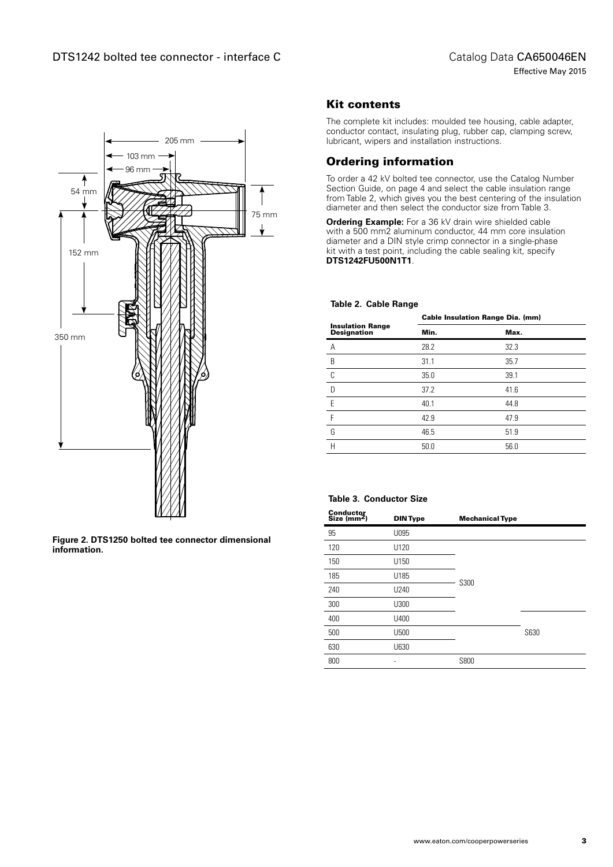

**Figure 2. DTS1250 bolted tee connector dimensional information.**

#### Kit contents

The complete kit includes: moulded tee housing, cable adapter, conductor contact, insulating plug, rubber cap, clamping screw, lubricant, wipers and installation instructions.

#### Ordering information

To order a 42 kV bolted tee connector, use the Catalog Number Section Guide, on page 4 and select the cable insulation range from Table 2, which gives you the best centering of the insulation diameter and then select the conductor size from Table 3.

**Ordering Example:** For a 36 kV drain wire shielded cable with a 500 mm2 aluminum conductor, 44 mm core insulation diameter and a DIN style crimp connector in a single-phase kit with a test point, including the cable sealing kit, specify **DTS1242FU500N1T1**.

#### **Table 2. Cable Range**

| <b>Cable Insulation Range Dia. (mm)</b> |      |
|-----------------------------------------|------|
| Min.                                    | Max. |
| 28.2                                    | 32.3 |
| 31.1                                    | 35.7 |
| 35.0                                    | 39.1 |
| 37.2                                    | 41.6 |
| 40.1                                    | 44.8 |
| 42.9                                    | 47.9 |
| 46.5                                    | 51.9 |
| 50.0                                    | 56.0 |
|                                         |      |

#### **Table 3. Conductor Size**

| Conductor<br>Size (mm <sup>2</sup> ) | <b>DIN Type</b> | <b>Mechanical Type</b> |      |
|--------------------------------------|-----------------|------------------------|------|
| 95                                   | U095            |                        |      |
| 120                                  | U120            |                        |      |
| 150                                  | U150            |                        |      |
| 185                                  | U185            | S300                   |      |
| 240                                  | U240            |                        |      |
| 300                                  | U300            |                        |      |
| 400                                  | U400            |                        |      |
| 500                                  | U500            |                        | S630 |
| 630                                  | U630            |                        |      |
| 800                                  |                 | S800                   |      |